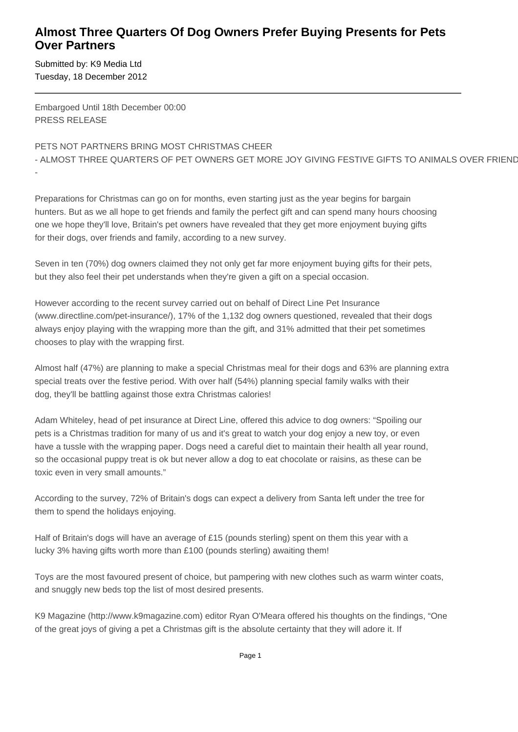## **Almost Three Quarters Of Dog Owners Prefer Buying Presents for Pets Over Partners**

Submitted by: K9 Media Ltd Tuesday, 18 December 2012

-

Embargoed Until 18th December 00:00 PRESS RELEASE

## PETS NOT PARTNERS BRING MOST CHRISTMAS CHEER

- ALMOST THREE QUARTERS OF PET OWNERS GET MORE JOY GIVING FESTIVE GIFTS TO ANIMALS OVER FRIEND

Preparations for Christmas can go on for months, even starting just as the year begins for bargain hunters. But as we all hope to get friends and family the perfect gift and can spend many hours choosing one we hope they'll love, Britain's pet owners have revealed that they get more enjoyment buying gifts for their dogs, over friends and family, according to a new survey.

Seven in ten (70%) dog owners claimed they not only get far more enjoyment buying gifts for their pets, but they also feel their pet understands when they're given a gift on a special occasion.

However according to the recent survey carried out on behalf of Direct Line Pet Insurance (www.directline.com/pet-insurance/), 17% of the 1,132 dog owners questioned, revealed that their dogs always enjoy playing with the wrapping more than the gift, and 31% admitted that their pet sometimes chooses to play with the wrapping first.

Almost half (47%) are planning to make a special Christmas meal for their dogs and 63% are planning extra special treats over the festive period. With over half (54%) planning special family walks with their dog, they'll be battling against those extra Christmas calories!

Adam Whiteley, head of pet insurance at Direct Line, offered this advice to dog owners: "Spoiling our pets is a Christmas tradition for many of us and it's great to watch your dog enjoy a new toy, or even have a tussle with the wrapping paper. Dogs need a careful diet to maintain their health all year round, so the occasional puppy treat is ok but never allow a dog to eat chocolate or raisins, as these can be toxic even in very small amounts."

According to the survey, 72% of Britain's dogs can expect a delivery from Santa left under the tree for them to spend the holidays enjoying.

Half of Britain's dogs will have an average of £15 (pounds sterling) spent on them this year with a lucky 3% having gifts worth more than £100 (pounds sterling) awaiting them!

Toys are the most favoured present of choice, but pampering with new clothes such as warm winter coats, and snuggly new beds top the list of most desired presents.

K9 Magazine (http://www.k9magazine.com) editor Ryan O'Meara offered his thoughts on the findings, "One of the great joys of giving a pet a Christmas gift is the absolute certainty that they will adore it. If